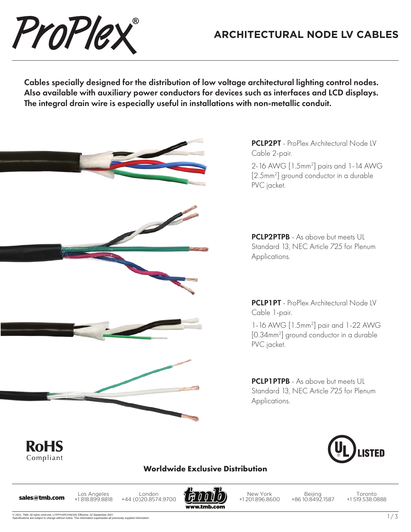

## **ARCHITECTURAL NODE LV CABLES**

Cables specially designed for the distribution of low voltage architectural lighting control nodes. Also available with auxiliary power conductors for devices such as interfaces and LCD displays. The integral drain wire is especially useful in installations with non-metallic conduit.



PCLP2PT - ProPlex Architectural Node IV Cable 2-pair.

2-16 AWG [1.5mm2 ] pairs and 1-14 AWG [2.5mm2 ] ground conductor in a durable PVC jacket.

PCLP2PTPB - As above but meets UL Standard 13, NEC Article 725 for Plenum Applications.

PCLP1PT - ProPlex Architectural Node LV Cable 1-pair.

1-16 AWG [1.5mm2 ] pair and 1-22 AWG [0.34mm2 ] ground conductor in a durable PVC jacket.

**PCLP1PTPB** - As above but meets UL Standard 13, NEC Article 725 for Plenum Applications.



## **Worldwide Exclusive Distribution**

**RoHS** Compliant

Los Angeles +1 818.899.8818 Los Angeles London<br>**sales@tmb.com** +1818.899.8818 +44 (0)20.8574.9700



New York +1 201.896.8600

Beijing +86 10.8492.1587

Toronto +1 519.538.0888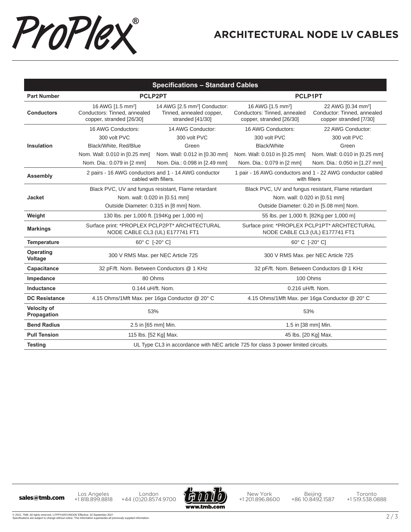

## **ARCHITECTURAL NODE LV CABLES**

| <b>Specifications - Standard Cables</b> |                                                                                           |                                                                                          |                                                                                           |                                                                                         |  |  |  |
|-----------------------------------------|-------------------------------------------------------------------------------------------|------------------------------------------------------------------------------------------|-------------------------------------------------------------------------------------------|-----------------------------------------------------------------------------------------|--|--|--|
| <b>Part Number</b>                      | PCLP2PT                                                                                   |                                                                                          | PCLP1PT                                                                                   |                                                                                         |  |  |  |
| <b>Conductors</b>                       | 16 AWG [1.5 mm <sup>2</sup> ]<br>Conductors: Tinned, annealed<br>copper, stranded [26/30] | 14 AWG [2.5 mm <sup>2</sup> ] Conductor:<br>Tinned, annealed copper,<br>stranded [41/30] | 16 AWG [1.5 mm <sup>2</sup> ]<br>Conductors: Tinned, annealed<br>copper, stranded [26/30] | 22 AWG [0.34 mm <sup>2</sup> ]<br>Conductor: Tinned, annealed<br>copper stranded [7/30] |  |  |  |
|                                         | 16 AWG Conductors:                                                                        | 14 AWG Conductor:                                                                        | 16 AWG Conductors:                                                                        | 22 AWG Conductor:                                                                       |  |  |  |
|                                         | 300 volt PVC                                                                              | 300 volt PVC                                                                             | 300 volt PVC                                                                              | 300 volt PVC                                                                            |  |  |  |
| Insulation                              | Black/White, Red/Blue                                                                     | Green                                                                                    | Black/White                                                                               | Green                                                                                   |  |  |  |
|                                         | Nom. Wall: 0.010 in [0.25 mm]                                                             | Nom. Wall: 0.012 in [0.30 mm]                                                            | Nom. Wall: 0.010 in [0.25 mm]                                                             | Nom. Wall: 0.010 in [0.25 mm]                                                           |  |  |  |
|                                         | Nom. Dia.: 0.079 in [2 mm]                                                                | Nom. Dia.: 0.098 in [2.49 mm]                                                            | Nom. Dia.: 0.079 in [2 mm]                                                                | Nom. Dia.: 0.050 in [1.27 mm]                                                           |  |  |  |
| Assembly                                | 2 pairs - 16 AWG conductors and 1 - 14 AWG conductor<br>cabled with fillers.              |                                                                                          | 1 pair - 16 AWG conductors and 1 - 22 AWG conductor cabled<br>with fillers                |                                                                                         |  |  |  |
|                                         | Black PVC, UV and fungus resistant, Flame retardant                                       |                                                                                          | Black PVC, UV and fungus resistant, Flame retardant                                       |                                                                                         |  |  |  |
| <b>Jacket</b>                           | Nom. wall: 0.020 in [0.51 mm]                                                             |                                                                                          | Nom. wall: 0.020 in [0.51 mm]                                                             |                                                                                         |  |  |  |
|                                         | Outside Diameter: 0.315 in [8 mm] Nom.                                                    |                                                                                          | Outside Diameter: 0.20 in [5.08 mm] Nom.                                                  |                                                                                         |  |  |  |
| Weight                                  | 130 lbs. per 1,000 ft. [194Kg per 1,000 m]                                                |                                                                                          | 55 lbs. per 1,000 ft. [82Kg per 1,000 m]                                                  |                                                                                         |  |  |  |
| <b>Markings</b>                         | Surface print: *PROPLEX PCLP2PT* ARCHITECTURAL<br>NODE CABLE CL3 (UL) E177741 FT1         |                                                                                          | Surface print: *PROPLEX PCLP1PT* ARCHTECTURAL<br>NODE CABLE CL3 (UL) E177741 FT1          |                                                                                         |  |  |  |
| Temperature                             | 60° C [-20° C]                                                                            |                                                                                          | 60° C [-20° C]                                                                            |                                                                                         |  |  |  |
| <b>Operating</b><br>Voltage             | 300 V RMS Max. per NEC Article 725                                                        |                                                                                          | 300 V RMS Max. per NEC Article 725                                                        |                                                                                         |  |  |  |
| Capacitance                             | 32 pF/ft. Nom. Between Conductors @ 1 KHz                                                 |                                                                                          | 32 pF/ft. Nom. Between Conductors @ 1 KHz                                                 |                                                                                         |  |  |  |
| Impedance                               | 80 Ohms                                                                                   |                                                                                          | 100 Ohms                                                                                  |                                                                                         |  |  |  |
| Inductance                              | 0.144 uH/ft. Nom.                                                                         |                                                                                          | 0.216 uH/ft. Nom.                                                                         |                                                                                         |  |  |  |
| <b>DC Resistance</b>                    | 4.15 Ohms/1Mft Max. per 16ga Conductor @ 20° C                                            |                                                                                          | 4.15 Ohms/1Mft Max. per 16ga Conductor @ 20° C                                            |                                                                                         |  |  |  |
| <b>Velocity of</b><br>Propagation       | 53%                                                                                       |                                                                                          | 53%                                                                                       |                                                                                         |  |  |  |
| <b>Bend Radius</b>                      | 2.5 in [65 mm] Min.                                                                       |                                                                                          | 1.5 in [38 mm] Min.                                                                       |                                                                                         |  |  |  |
| <b>Pull Tension</b>                     | 115 lbs. [52 Kg] Max.                                                                     |                                                                                          | 45 lbs. [20 Kg] Max.                                                                      |                                                                                         |  |  |  |
| <b>Testing</b>                          | UL Type CL3 in accordance with NEC article 725 for class 3 power limited circuits.        |                                                                                          |                                                                                           |                                                                                         |  |  |  |

Los Angeles +1 818.899.8818 London Los Angeles London<br>
+44 (0)20.8574.9700 +44 (0)20.8574.9700



New York +1 201.896.8600

Beijing +86 10.8492.1587

Toronto +1 519.538.0888